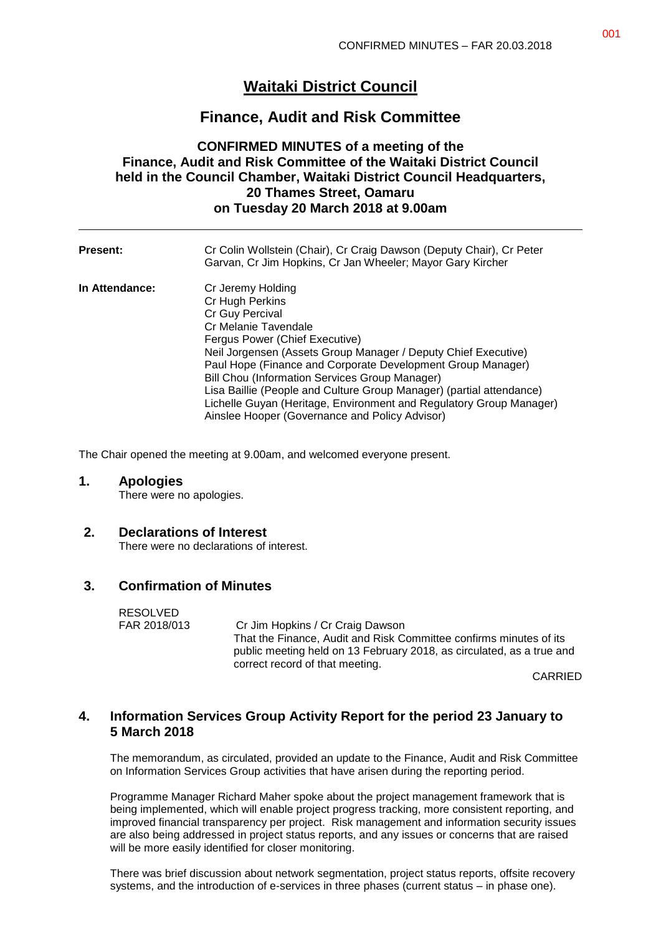# **Waitaki District Council**

## **Finance, Audit and Risk Committee**

### **CONFIRMED MINUTES of a meeting of the Finance, Audit and Risk Committee of the Waitaki District Council held in the Council Chamber, Waitaki District Council Headquarters, 20 Thames Street, Oamaru on Tuesday 20 March 2018 at 9.00am**

| <b>Present:</b> | Cr Colin Wollstein (Chair), Cr Craig Dawson (Deputy Chair), Cr Peter<br>Garvan, Cr Jim Hopkins, Cr Jan Wheeler; Mayor Gary Kircher                                                                                                                                                                                                                                                                                                                                                                    |
|-----------------|-------------------------------------------------------------------------------------------------------------------------------------------------------------------------------------------------------------------------------------------------------------------------------------------------------------------------------------------------------------------------------------------------------------------------------------------------------------------------------------------------------|
| In Attendance:  | Cr Jeremy Holding<br>Cr Hugh Perkins<br>Cr Guy Percival<br>Cr Melanie Tavendale<br>Fergus Power (Chief Executive)<br>Neil Jorgensen (Assets Group Manager / Deputy Chief Executive)<br>Paul Hope (Finance and Corporate Development Group Manager)<br>Bill Chou (Information Services Group Manager)<br>Lisa Baillie (People and Culture Group Manager) (partial attendance)<br>Lichelle Guyan (Heritage, Environment and Regulatory Group Manager)<br>Ainslee Hooper (Governance and Policy Advisor) |

The Chair opened the meeting at 9.00am, and welcomed everyone present.

#### **1. Apologies**

There were no apologies.

#### **2. Declarations of Interest**

There were no declarations of interest.

#### **3. Confirmation of Minutes**

RESOLVED

FAR 2018/013 Cr Jim Hopkins / Cr Craig Dawson That the Finance, Audit and Risk Committee confirms minutes of its public meeting held on 13 February 2018, as circulated, as a true and correct record of that meeting.

CARRIED

### **4. Information Services Group Activity Report for the period 23 January to 5 March 2018**

The memorandum, as circulated, provided an update to the Finance, Audit and Risk Committee on Information Services Group activities that have arisen during the reporting period.

Programme Manager Richard Maher spoke about the project management framework that is being implemented, which will enable project progress tracking, more consistent reporting, and improved financial transparency per project. Risk management and information security issues are also being addressed in project status reports, and any issues or concerns that are raised will be more easily identified for closer monitoring.

There was brief discussion about network segmentation, project status reports, offsite recovery systems, and the introduction of e-services in three phases (current status – in phase one).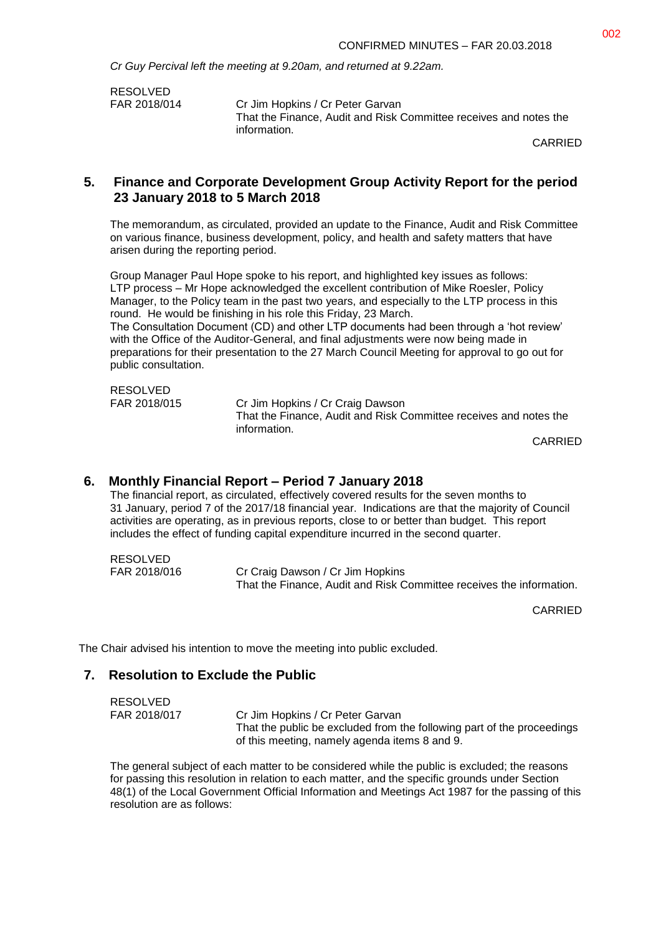*Cr Guy Percival left the meeting at 9.20am, and returned at 9.22am.*

RESOLVED<br>FAR 2018/014

Cr Jim Hopkins / Cr Peter Garvan That the Finance, Audit and Risk Committee receives and notes the information.

CARRIED

#### **5. Finance and Corporate Development Group Activity Report for the period 23 January 2018 to 5 March 2018**

The memorandum, as circulated, provided an update to the Finance, Audit and Risk Committee on various finance, business development, policy, and health and safety matters that have arisen during the reporting period.

Group Manager Paul Hope spoke to his report, and highlighted key issues as follows: LTP process – Mr Hope acknowledged the excellent contribution of Mike Roesler, Policy Manager, to the Policy team in the past two years, and especially to the LTP process in this round. He would be finishing in his role this Friday, 23 March.

The Consultation Document (CD) and other LTP documents had been through a 'hot review' with the Office of the Auditor-General, and final adjustments were now being made in preparations for their presentation to the 27 March Council Meeting for approval to go out for public consultation.

| RESOLVED     |                                                                   |
|--------------|-------------------------------------------------------------------|
| FAR 2018/015 | Cr Jim Hopkins / Cr Craig Dawson                                  |
|              | That the Finance. Audit and Risk Committee receives and notes the |
|              | information.                                                      |

CARRIED

#### **6. Monthly Financial Report – Period 7 January 2018**

The financial report, as circulated, effectively covered results for the seven months to 31 January, period 7 of the 2017/18 financial year. Indications are that the majority of Council activities are operating, as in previous reports, close to or better than budget. This report includes the effect of funding capital expenditure incurred in the second quarter.

RESOLVED FAR 2018/016 Cr Craig Dawson / Cr Jim Hopkins That the Finance, Audit and Risk Committee receives the information.

CARRIED

The Chair advised his intention to move the meeting into public excluded.

#### **7. Resolution to Exclude the Public**

| RESOLVED     |                                                                        |
|--------------|------------------------------------------------------------------------|
| FAR 2018/017 | Cr Jim Hopkins / Cr Peter Garvan                                       |
|              | That the public be excluded from the following part of the proceedings |
|              | of this meeting, namely agenda items 8 and 9.                          |

The general subject of each matter to be considered while the public is excluded; the reasons for passing this resolution in relation to each matter, and the specific grounds under Section 48(1) of the Local Government Official Information and Meetings Act 1987 for the passing of this resolution are as follows: